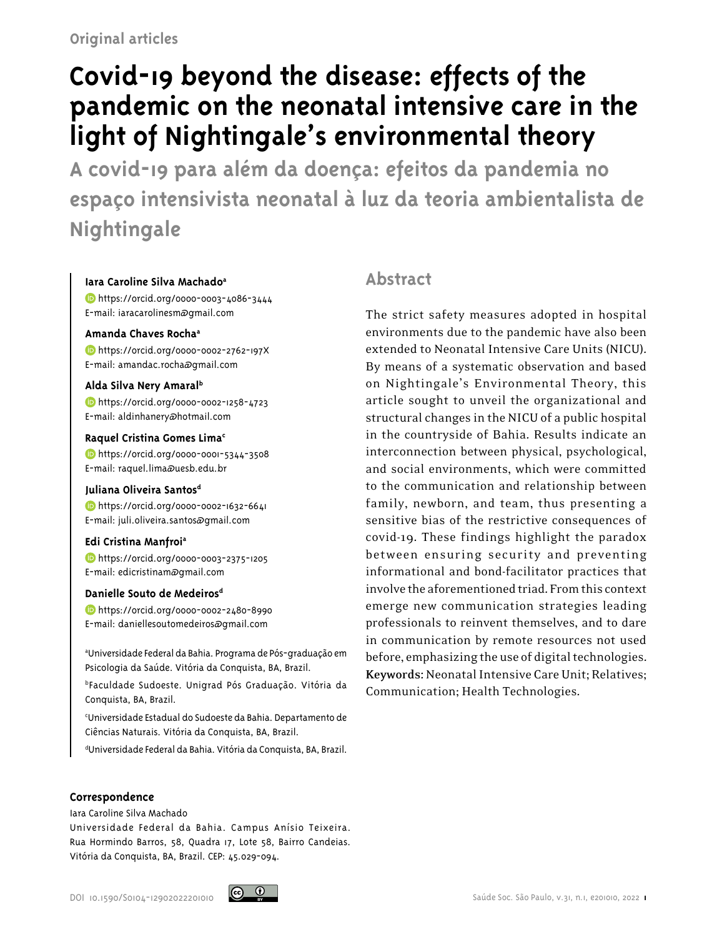# **Covid-19 beyond the disease: effects of the pandemic on the neonatal intensive care in the light of Nightingale's environmental theory**

**A covid-19 para além da doença: efeitos da pandemia no espaço intensivista neonatal à luz da teoria ambientalista de Nightingale** 

## **Iara Caroline Silva Machadoa**

 https://orcid.org/0000-0003-4086-3444 E-mail: iaracarolinesm@gmail.com

## **Amanda Chaves Rochaa**

 https://orcid.org/0000-0002-2762-197X E-mail: amandac.rocha@gmail.com

## **Alda Silva Nery Amaralb**

 https://orcid.org/0000-0002-1258-4723 E-mail: aldinhanery@hotmail.com

## **Raquel Cristina Gomes Limac**

 https://orcid.org/0000-0001-5344-3508 E-mail: raquel.lima@uesb.edu.br

## Juliana Oliveira Santos<sup>d</sup>

 https://orcid.org/0000-0002-1632-6641 E-mail: juli.oliveira.santos@gmail.com

## **Edi Cristina Manfroia**

 https://orcid.org/0000-0003-2375-1205 E-mail: edicristinam@gmail.com

## **Danielle Souto de Medeirosd**

 https://orcid.org/0000-0002-2480-8990 E-mail: daniellesoutomedeiros@gmail.com

a Universidade Federal da Bahia. Programa de Pós-graduação em Psicologia da Saúde. Vitória da Conquista, BA, Brazil.

bFaculdade Sudoeste. Unigrad Pós Graduação. Vitória da Conquista, BA, Brazil.

c Universidade Estadual do Sudoeste da Bahia. Departamento de Ciências Naturais. Vitória da Conquista, BA, Brazil.

d Universidade Federal da Bahia. Vitória da Conquista, BA, Brazil.

# **Abstract**

The strict safety measures adopted in hospital environments due to the pandemic have also been extended to Neonatal Intensive Care Units (NICU). By means of a systematic observation and based on Nightingale's Environmental Theory, this article sought to unveil the organizational and structural changes in the NICU of a public hospital in the countryside of Bahia. Results indicate an interconnection between physical, psychological, and social environments, which were committed to the communication and relationship between family, newborn, and team, thus presenting a sensitive bias of the restrictive consequences of covid-19. These findings highlight the paradox between ensuring security and preventing informational and bond-facilitator practices that involve the aforementioned triad. From this context emerge new communication strategies leading professionals to reinvent themselves, and to dare in communication by remote resources not used before, emphasizing the use of digital technologies. **Keywords:** Neonatal Intensive Care Unit; Relatives; Communication; Health Technologies.

#### **Correspondence**

Iara Caroline Silva Machado

Universidade Federal da Bahia. Campus Anísio Teixeira. Rua Hormindo Barros, 58, Quadra 17, Lote 58, Bairro Candeias. Vitória da Conquista, BA, Brazil. CEP: 45.029-094.

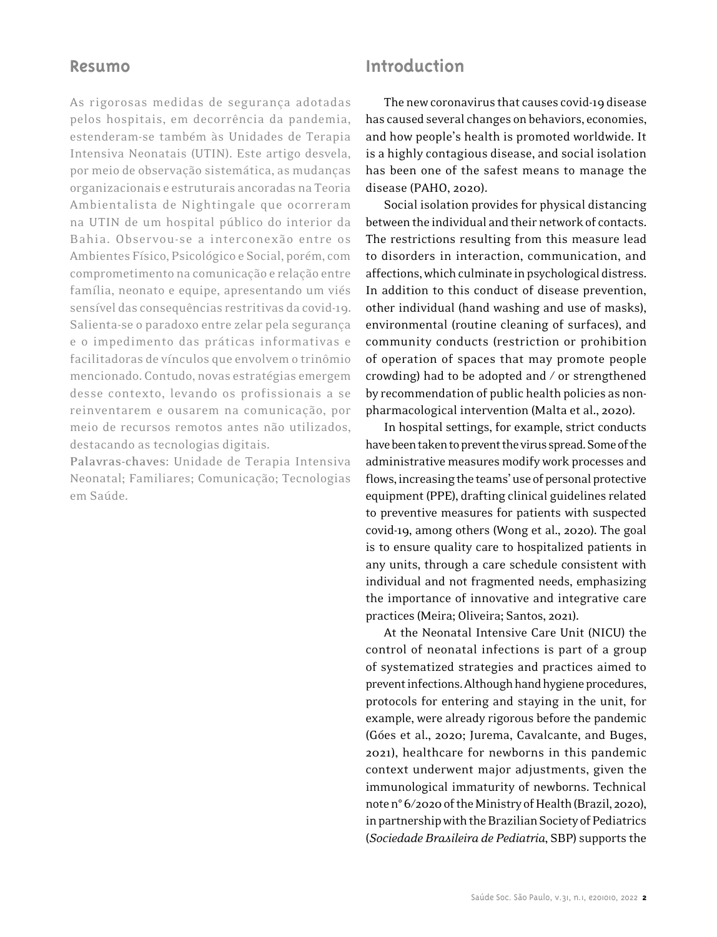## **Resumo**

As rigorosas medidas de segurança adotadas pelos hospitais, em decorrência da pandemia, estenderam-se também às Unidades de Terapia Intensiva Neonatais (UTIN). Este artigo desvela, por meio de observação sistemática, as mudanças organizacionais e estruturais ancoradas na Teoria Ambientalista de Nightingale que ocorreram na UTIN de um hospital público do interior da Bahia. Observou-se a interconexão entre os Ambientes Físico, Psicológico e Social, porém, com comprometimento na comunicação e relação entre família, neonato e equipe, apresentando um viés sensível das consequências restritivas da covid-19. Salienta-se o paradoxo entre zelar pela segurança e o impedimento das práticas informativas e facilitadoras de vínculos que envolvem o trinômio mencionado. Contudo, novas estratégias emergem desse contexto, levando os profissionais a se reinventarem e ousarem na comunicação, por meio de recursos remotos antes não utilizados, destacando as tecnologias digitais.

**Palavras-chaves:** Unidade de Terapia Intensiva Neonatal; Familiares; Comunicação; Tecnologias em Saúde.

# **Introduction**

The new coronavirus that causes covid-19 disease has caused several changes on behaviors, economies, and how people's health is promoted worldwide. It is a highly contagious disease, and social isolation has been one of the safest means to manage the disease (PAHO, 2020).

Social isolation provides for physical distancing between the individual and their network of contacts. The restrictions resulting from this measure lead to disorders in interaction, communication, and affections, which culminate in psychological distress. In addition to this conduct of disease prevention, other individual (hand washing and use of masks), environmental (routine cleaning of surfaces), and community conducts (restriction or prohibition of operation of spaces that may promote people crowding) had to be adopted and / or strengthened by recommendation of public health policies as nonpharmacological intervention (Malta et al., 2020).

In hospital settings, for example, strict conducts have been taken to prevent the virus spread. Some of the administrative measures modify work processes and flows, increasing the teams' use of personal protective equipment (PPE), drafting clinical guidelines related to preventive measures for patients with suspected covid-19, among others (Wong et al., 2020). The goal is to ensure quality care to hospitalized patients in any units, through a care schedule consistent with individual and not fragmented needs, emphasizing the importance of innovative and integrative care practices (Meira; Oliveira; Santos, 2021).

At the Neonatal Intensive Care Unit (NICU) the control of neonatal infections is part of a group of systematized strategies and practices aimed to prevent infections. Although hand hygiene procedures, protocols for entering and staying in the unit, for example, were already rigorous before the pandemic (Góes et al., 2020; Jurema, Cavalcante, and Buges, 2021), healthcare for newborns in this pandemic context underwent major adjustments, given the immunological immaturity of newborns. Technical note n° 6/2020 of the Ministry of Health (Brazil, 2020), in partnership with the Brazilian Society of Pediatrics (*Sociedade Brasileira de Pediatria*, SBP) supports the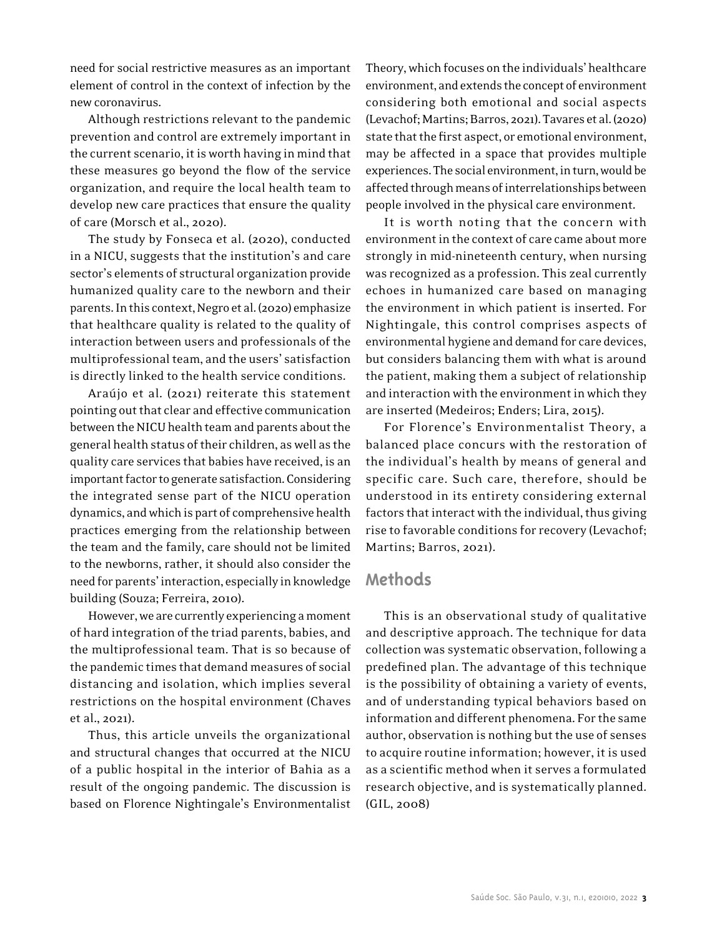need for social restrictive measures as an important element of control in the context of infection by the new coronavirus.

Although restrictions relevant to the pandemic prevention and control are extremely important in the current scenario, it is worth having in mind that these measures go beyond the flow of the service organization, and require the local health team to develop new care practices that ensure the quality of care (Morsch et al., 2020).

The study by Fonseca et al. (2020), conducted in a NICU, suggests that the institution's and care sector's elements of structural organization provide humanized quality care to the newborn and their parents. In this context, Negro et al. (2020) emphasize that healthcare quality is related to the quality of interaction between users and professionals of the multiprofessional team, and the users' satisfaction is directly linked to the health service conditions.

Araújo et al. (2021) reiterate this statement pointing out that clear and effective communication between the NICU health team and parents about the general health status of their children, as well as the quality care services that babies have received, is an important factor to generate satisfaction. Considering the integrated sense part of the NICU operation dynamics, and which is part of comprehensive health practices emerging from the relationship between the team and the family, care should not be limited to the newborns, rather, it should also consider the need for parents' interaction, especially in knowledge building (Souza; Ferreira, 2010).

However, we are currently experiencing a moment of hard integration of the triad parents, babies, and the multiprofessional team. That is so because of the pandemic times that demand measures of social distancing and isolation, which implies several restrictions on the hospital environment (Chaves et al., 2021).

Thus, this article unveils the organizational and structural changes that occurred at the NICU of a public hospital in the interior of Bahia as a result of the ongoing pandemic. The discussion is based on Florence Nightingale's Environmentalist

Theory, which focuses on the individuals' healthcare environment, and extends the concept of environment considering both emotional and social aspects (Levachof; Martins; Barros, 2021). Tavares et al. (2020) state that the first aspect, or emotional environment, may be affected in a space that provides multiple experiences. The social environment, in turn, would be affected through means of interrelationships between people involved in the physical care environment.

It is worth noting that the concern with environment in the context of care came about more strongly in mid-nineteenth century, when nursing was recognized as a profession. This zeal currently echoes in humanized care based on managing the environment in which patient is inserted. For Nightingale, this control comprises aspects of environmental hygiene and demand for care devices, but considers balancing them with what is around the patient, making them a subject of relationship and interaction with the environment in which they are inserted (Medeiros; Enders; Lira, 2015).

For Florence's Environmentalist Theory, a balanced place concurs with the restoration of the individual's health by means of general and specific care. Such care, therefore, should be understood in its entirety considering external factors that interact with the individual, thus giving rise to favorable conditions for recovery (Levachof; Martins; Barros, 2021).

# **Methods**

This is an observational study of qualitative and descriptive approach. The technique for data collection was systematic observation, following a predefined plan. The advantage of this technique is the possibility of obtaining a variety of events, and of understanding typical behaviors based on information and different phenomena. For the same author, observation is nothing but the use of senses to acquire routine information; however, it is used as a scientific method when it serves a formulated research objective, and is systematically planned. (GIL, 2008)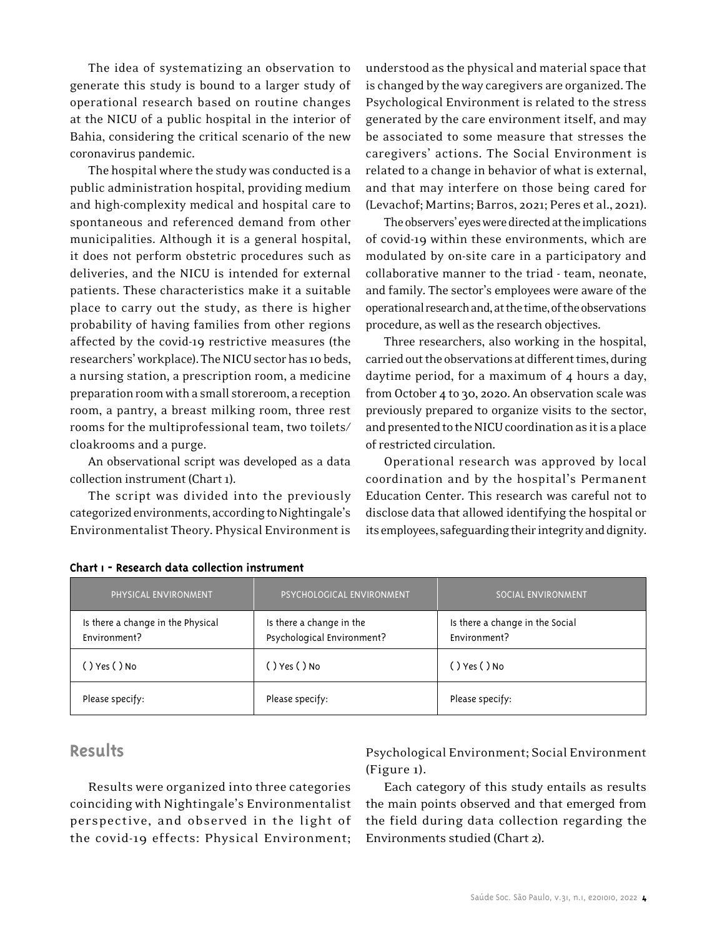The idea of systematizing an observation to generate this study is bound to a larger study of operational research based on routine changes at the NICU of a public hospital in the interior of Bahia, considering the critical scenario of the new coronavirus pandemic.

The hospital where the study was conducted is a public administration hospital, providing medium and high-complexity medical and hospital care to spontaneous and referenced demand from other municipalities. Although it is a general hospital, it does not perform obstetric procedures such as deliveries, and the NICU is intended for external patients. These characteristics make it a suitable place to carry out the study, as there is higher probability of having families from other regions affected by the covid-19 restrictive measures (the researchers' workplace). The NICU sector has 10 beds, a nursing station, a prescription room, a medicine preparation room with a small storeroom, a reception room, a pantry, a breast milking room, three rest rooms for the multiprofessional team, two toilets/ cloakrooms and a purge.

An observational script was developed as a data collection instrument (Chart 1).

The script was divided into the previously categorized environments, according to Nightingale's Environmentalist Theory. Physical Environment is

understood as the physical and material space that is changed by the way caregivers are organized. The Psychological Environment is related to the stress generated by the care environment itself, and may be associated to some measure that stresses the caregivers' actions. The Social Environment is related to a change in behavior of what is external, and that may interfere on those being cared for (Levachof; Martins; Barros, 2021; Peres et al., 2021).

The observers' eyes were directed at the implications of covid-19 within these environments, which are modulated by on-site care in a participatory and collaborative manner to the triad - team, neonate, and family. The sector's employees were aware of the operational research and, at the time, of the observations procedure, as well as the research objectives.

Three researchers, also working in the hospital, carried out the observations at different times, during daytime period, for a maximum of 4 hours a day, from October 4 to 30, 2020. An observation scale was previously prepared to organize visits to the sector, and presented to the NICU coordination as it is a place of restricted circulation.

Operational research was approved by local coordination and by the hospital's Permanent Education Center. This research was careful not to disclose data that allowed identifying the hospital or its employees, safeguarding their integrity and dignity.

| PHYSICAL ENVIRONMENT                              | PSYCHOLOGICAL ENVIRONMENT                              | SOCIAL ENVIRONMENT                              |
|---------------------------------------------------|--------------------------------------------------------|-------------------------------------------------|
| Is there a change in the Physical<br>Environment? | Is there a change in the<br>Psychological Environment? | Is there a change in the Social<br>Environment? |
| () Yes ( ) No                                     | ( )Yes ( )No                                           | ( ) Yes ( ) No                                  |
| Please specify:                                   | Please specify:                                        | Please specify:                                 |

#### **Chart 1 - Research data collection instrument**

## **Results**

Results were organized into three categories coinciding with Nightingale's Environmentalist perspective, and observed in the light of the covid-19 effects: Physical Environment;

Psychological Environment; Social Environment (Figure 1).

Each category of this study entails as results the main points observed and that emerged from the field during data collection regarding the Environments studied (Chart 2).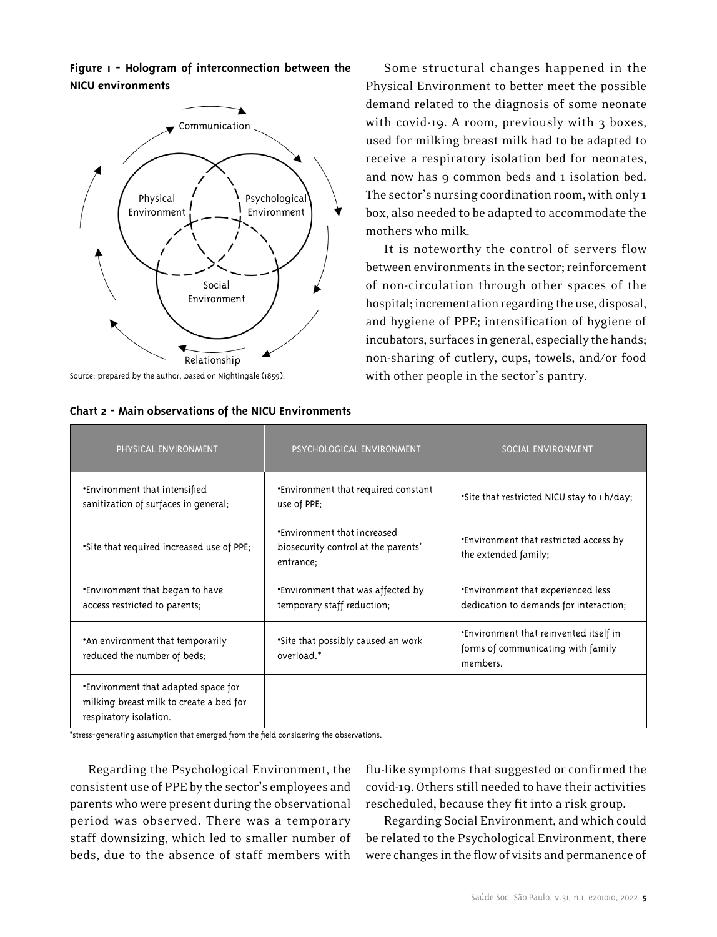**Figure 1 - Hologram of interconnection between the NICU environments**



Source: prepared by the author, based on Nightingale (1859).

Some structural changes happened in the Physical Environment to better meet the possible demand related to the diagnosis of some neonate with covid-19. A room, previously with 3 boxes, used for milking breast milk had to be adapted to receive a respiratory isolation bed for neonates, and now has 9 common beds and 1 isolation bed. The sector's nursing coordination room, with only 1 box, also needed to be adapted to accommodate the mothers who milk.

It is noteworthy the control of servers flow between environments in the sector; reinforcement of non-circulation through other spaces of the hospital; incrementation regarding the use, disposal, and hygiene of PPE; intensification of hygiene of incubators, surfaces in general, especially the hands; non-sharing of cutlery, cups, towels, and/or food with other people in the sector's pantry.

| PHYSICAL ENVIRONMENT                                                                                     | PSYCHOLOGICAL ENVIRONMENT                                                              | SOCIAL ENVIRONMENT                                                                              |
|----------------------------------------------------------------------------------------------------------|----------------------------------------------------------------------------------------|-------------------------------------------------------------------------------------------------|
| <b>*Environment that intensified</b><br>sanitization of surfaces in general;                             | <b>Environment that required constant</b><br>use of PPE;                               | . Site that restricted NICU stay to 1 h/day;                                                    |
| *Site that required increased use of PPE;                                                                | <b>*Environment that increased</b><br>biosecurity control at the parents'<br>entrance; | <b>Environment that restricted access by</b><br>the extended family;                            |
| <b>*Environment that began to have</b><br>access restricted to parents;                                  | <b>Environment that was affected by</b><br>temporary staff reduction;                  | <b>*Environment that experienced less</b><br>dedication to demands for interaction;             |
| . An environment that temporarily<br>reduced the number of beds;                                         | *Site that possibly caused an work<br>overload.*                                       | <b>*Environment that reinvented itself in</b><br>forms of communicating with family<br>members. |
| *Environment that adapted space for<br>milking breast milk to create a bed for<br>respiratory isolation. |                                                                                        |                                                                                                 |

\*stress-generating assumption that emerged from the field considering the observations.

Regarding the Psychological Environment, the consistent use of PPE by the sector's employees and parents who were present during the observational period was observed. There was a temporary staff downsizing, which led to smaller number of beds, due to the absence of staff members with flu-like symptoms that suggested or confirmed the covid-19. Others still needed to have their activities rescheduled, because they fit into a risk group.

Regarding Social Environment, and which could be related to the Psychological Environment, there were changes in the flow of visits and permanence of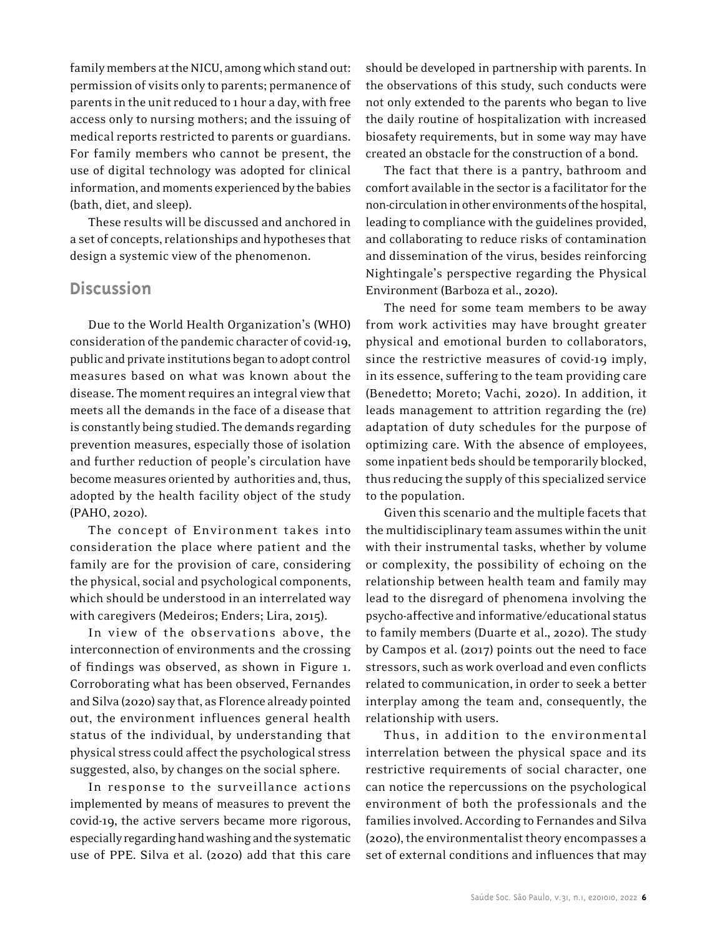family members at the NICU, among which stand out: permission of visits only to parents; permanence of parents in the unit reduced to 1 hour a day, with free access only to nursing mothers; and the issuing of medical reports restricted to parents or guardians. For family members who cannot be present, the use of digital technology was adopted for clinical information, and moments experienced by the babies (bath, diet, and sleep).

These results will be discussed and anchored in a set of concepts, relationships and hypotheses that design a systemic view of the phenomenon.

# **Discussion**

Due to the World Health Organization's (WHO) consideration of the pandemic character of covid-19, public and private institutions began to adopt control measures based on what was known about the disease. The moment requires an integral view that meets all the demands in the face of a disease that is constantly being studied. The demands regarding prevention measures, especially those of isolation and further reduction of people's circulation have become measures oriented by authorities and, thus, adopted by the health facility object of the study (PAHO, 2020).

The concept of Environment takes into consideration the place where patient and the family are for the provision of care, considering the physical, social and psychological components, which should be understood in an interrelated way with caregivers (Medeiros; Enders; Lira, 2015).

In view of the observations above, the interconnection of environments and the crossing of findings was observed, as shown in Figure 1. Corroborating what has been observed, Fernandes and Silva (2020) say that, as Florence already pointed out, the environment influences general health status of the individual, by understanding that physical stress could affect the psychological stress suggested, also, by changes on the social sphere.

In response to the surveillance actions implemented by means of measures to prevent the covid-19, the active servers became more rigorous, especially regarding hand washing and the systematic use of PPE. Silva et al. (2020) add that this care

should be developed in partnership with parents. In the observations of this study, such conducts were not only extended to the parents who began to live the daily routine of hospitalization with increased biosafety requirements, but in some way may have created an obstacle for the construction of a bond.

The fact that there is a pantry, bathroom and comfort available in the sector is a facilitator for the non-circulation in other environments of the hospital, leading to compliance with the guidelines provided, and collaborating to reduce risks of contamination and dissemination of the virus, besides reinforcing Nightingale's perspective regarding the Physical Environment (Barboza et al., 2020).

The need for some team members to be away from work activities may have brought greater physical and emotional burden to collaborators, since the restrictive measures of covid-19 imply, in its essence, suffering to the team providing care (Benedetto; Moreto; Vachi, 2020). In addition, it leads management to attrition regarding the (re) adaptation of duty schedules for the purpose of optimizing care. With the absence of employees, some inpatient beds should be temporarily blocked, thus reducing the supply of this specialized service to the population.

Given this scenario and the multiple facets that the multidisciplinary team assumes within the unit with their instrumental tasks, whether by volume or complexity, the possibility of echoing on the relationship between health team and family may lead to the disregard of phenomena involving the psycho-affective and informative/educational status to family members (Duarte et al., 2020). The study by Campos et al. (2017) points out the need to face stressors, such as work overload and even conflicts related to communication, in order to seek a better interplay among the team and, consequently, the relationship with users.

Thus, in addition to the environmental interrelation between the physical space and its restrictive requirements of social character, one can notice the repercussions on the psychological environment of both the professionals and the families involved. According to Fernandes and Silva (2020), the environmentalist theory encompasses a set of external conditions and influences that may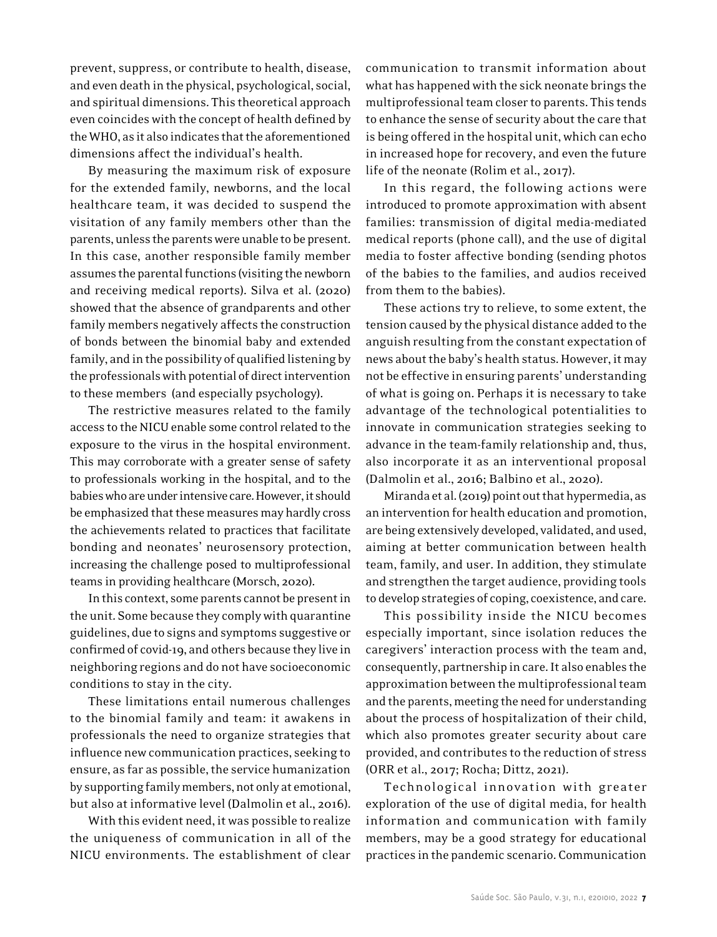prevent, suppress, or contribute to health, disease, and even death in the physical, psychological, social, and spiritual dimensions. This theoretical approach even coincides with the concept of health defined by the WHO, as it also indicates that the aforementioned dimensions affect the individual's health.

By measuring the maximum risk of exposure for the extended family, newborns, and the local healthcare team, it was decided to suspend the visitation of any family members other than the parents, unless the parents were unable to be present. In this case, another responsible family member assumes the parental functions (visiting the newborn and receiving medical reports). Silva et al. (2020) showed that the absence of grandparents and other family members negatively affects the construction of bonds between the binomial baby and extended family, and in the possibility of qualified listening by the professionals with potential of direct intervention to these members (and especially psychology).

The restrictive measures related to the family access to the NICU enable some control related to the exposure to the virus in the hospital environment. This may corroborate with a greater sense of safety to professionals working in the hospital, and to the babies who are under intensive care. However, it should be emphasized that these measures may hardly cross the achievements related to practices that facilitate bonding and neonates' neurosensory protection, increasing the challenge posed to multiprofessional teams in providing healthcare (Morsch, 2020).

In this context, some parents cannot be present in the unit. Some because they comply with quarantine guidelines, due to signs and symptoms suggestive or confirmed of covid-19, and others because they live in neighboring regions and do not have socioeconomic conditions to stay in the city.

These limitations entail numerous challenges to the binomial family and team: it awakens in professionals the need to organize strategies that influence new communication practices, seeking to ensure, as far as possible, the service humanization by supporting family members, not only at emotional, but also at informative level (Dalmolin et al., 2016).

With this evident need, it was possible to realize the uniqueness of communication in all of the NICU environments. The establishment of clear

communication to transmit information about what has happened with the sick neonate brings the multiprofessional team closer to parents. This tends to enhance the sense of security about the care that is being offered in the hospital unit, which can echo in increased hope for recovery, and even the future life of the neonate (Rolim et al., 2017).

In this regard, the following actions were introduced to promote approximation with absent families: transmission of digital media-mediated medical reports (phone call), and the use of digital media to foster affective bonding (sending photos of the babies to the families, and audios received from them to the babies).

These actions try to relieve, to some extent, the tension caused by the physical distance added to the anguish resulting from the constant expectation of news about the baby's health status. However, it may not be effective in ensuring parents' understanding of what is going on. Perhaps it is necessary to take advantage of the technological potentialities to innovate in communication strategies seeking to advance in the team-family relationship and, thus, also incorporate it as an interventional proposal (Dalmolin et al., 2016; Balbino et al., 2020).

Miranda et al. (2019) point out that hypermedia, as an intervention for health education and promotion, are being extensively developed, validated, and used, aiming at better communication between health team, family, and user. In addition, they stimulate and strengthen the target audience, providing tools to develop strategies of coping, coexistence, and care.

This possibility inside the NICU becomes especially important, since isolation reduces the caregivers' interaction process with the team and, consequently, partnership in care. It also enables the approximation between the multiprofessional team and the parents, meeting the need for understanding about the process of hospitalization of their child, which also promotes greater security about care provided, and contributes to the reduction of stress (ORR et al., 2017; Rocha; Dittz, 2021).

Technological innovation with greater exploration of the use of digital media, for health information and communication with family members, may be a good strategy for educational practices in the pandemic scenario. Communication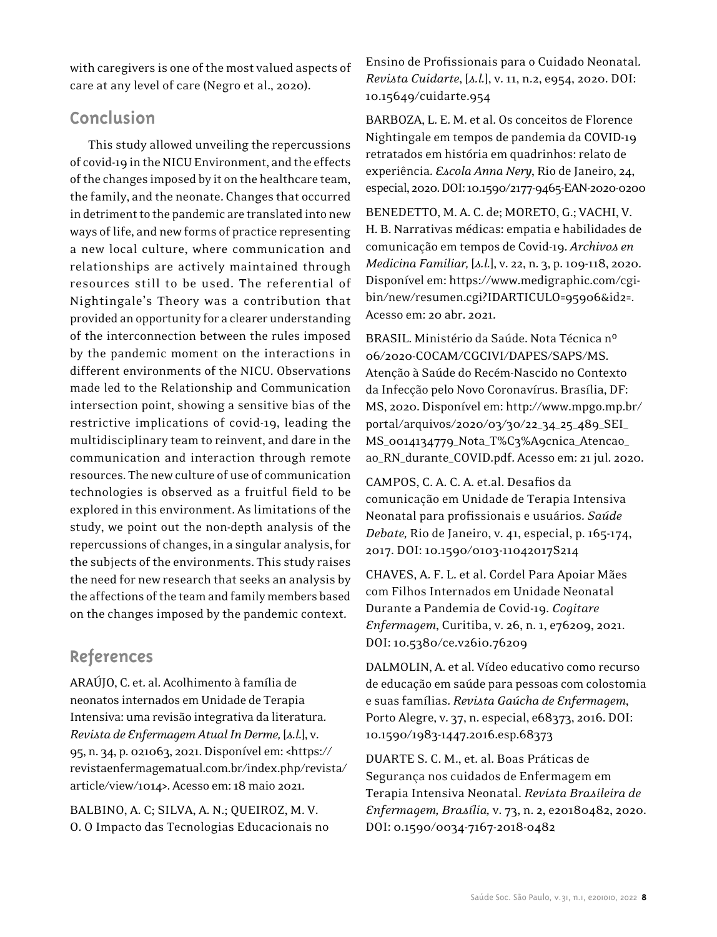with caregivers is one of the most valued aspects of care at any level of care (Negro et al., 2020).

# **Conclusion**

This study allowed unveiling the repercussions of covid-19 in the NICU Environment, and the effects of the changes imposed by it on the healthcare team, the family, and the neonate. Changes that occurred in detriment to the pandemic are translated into new ways of life, and new forms of practice representing a new local culture, where communication and relationships are actively maintained through resources still to be used. The referential of Nightingale's Theory was a contribution that provided an opportunity for a clearer understanding of the interconnection between the rules imposed by the pandemic moment on the interactions in different environments of the NICU. Observations made led to the Relationship and Communication intersection point, showing a sensitive bias of the restrictive implications of covid-19, leading the multidisciplinary team to reinvent, and dare in the communication and interaction through remote resources. The new culture of use of communication technologies is observed as a fruitful field to be explored in this environment. As limitations of the study, we point out the non-depth analysis of the repercussions of changes, in a singular analysis, for the subjects of the environments. This study raises the need for new research that seeks an analysis by the affections of the team and family members based on the changes imposed by the pandemic context.

# **References**

ARAÚJO, C. et. al. Acolhimento à família de neonatos internados em Unidade de Terapia Intensiva: uma revisão integrativa da literatura. *Revista de Enfermagem Atual In Derme,* [*s.l*.], v. 95, n. 34, p. 021063, 2021. Disponível em: <https:// revistaenfermagematual.com.br/index.php/revista/ article/view/1014>. Acesso em: 18 maio 2021.

BALBINO, A. C; SILVA, A. N.; QUEIROZ, M. V. O. O Impacto das Tecnologias Educacionais no Ensino de Profissionais para o Cuidado Neonatal*. Revista Cuidarte*, [*s.l.*], v. 11, n.2, e954, 2020. DOI: 10.15649/cuidarte.954

BARBOZA, L. E. M. et al. Os conceitos de Florence Nightingale em tempos de pandemia da COVID-19 retratados em história em quadrinhos: relato de experiência. *Escola Anna Nery*, Rio de Janeiro, 24, especial, 2020. DOI: 10.1590/2177-9465-EAN-2020-0200

BENEDETTO, M. A. C. de; MORETO, G.; VACHI, V. H. B. Narrativas médicas: empatia e habilidades de comunicação em tempos de Covid-19. *Archivos en Medicina Familiar,* [*s.l.*], v. 22, n. 3, p. 109-118, 2020. Disponível em: https://www.medigraphic.com/cgibin/new/resumen.cgi?IDARTICULO=95906&id2=. Acesso em: 20 abr. 2021.

BRASIL. Ministério da Saúde. Nota Técnica nº 06/2020-COCAM/CGCIVI/DAPES/SAPS/MS. Atenção à Saúde do Recém-Nascido no Contexto da Infecção pelo Novo Coronavírus. Brasília, DF: MS, 2020. Disponível em: http://www.mpgo.mp.br/ portal/arquivos/2020/03/30/22\_34\_25\_489\_SEI\_ MS\_0014134779\_Nota\_T%C3%A9cnica\_Atencao\_ ao\_RN\_durante\_COVID.pdf. Acesso em: 21 jul. 2020.

CAMPOS, C. A. C. A. et.al. Desafios da comunicação em Unidade de Terapia Intensiva Neonatal para profissionais e usuários. *Saúde Debate,* Rio de Janeiro, v. 41, especial, p. 165-174, 2017. DOI: 10.1590/0103-11042017S214

CHAVES, A. F. L. et al. Cordel Para Apoiar Mães com Filhos Internados em Unidade Neonatal Durante a Pandemia de Covid-19. *Cogitare Enfermagem*, Curitiba, v. 26, n. 1, e76209, 2021. DOI: 10.5380/ce.v26i0.76209

DALMOLIN, A. et al. Vídeo educativo como recurso de educação em saúde para pessoas com colostomia e suas famílias. *Revista Gaúcha de Enfermagem*, Porto Alegre, v. 37, n. especial, e68373, 2016. DOI: 10.1590/1983-1447.2016.esp.68373

DUARTE S. C. M., et. al. Boas Práticas de Segurança nos cuidados de Enfermagem em Terapia Intensiva Neonatal. *Revista Brasileira de Enfermagem, Brasília,* v. 73, n. 2, e20180482, 2020. DOI: 0.1590/0034-7167-2018-0482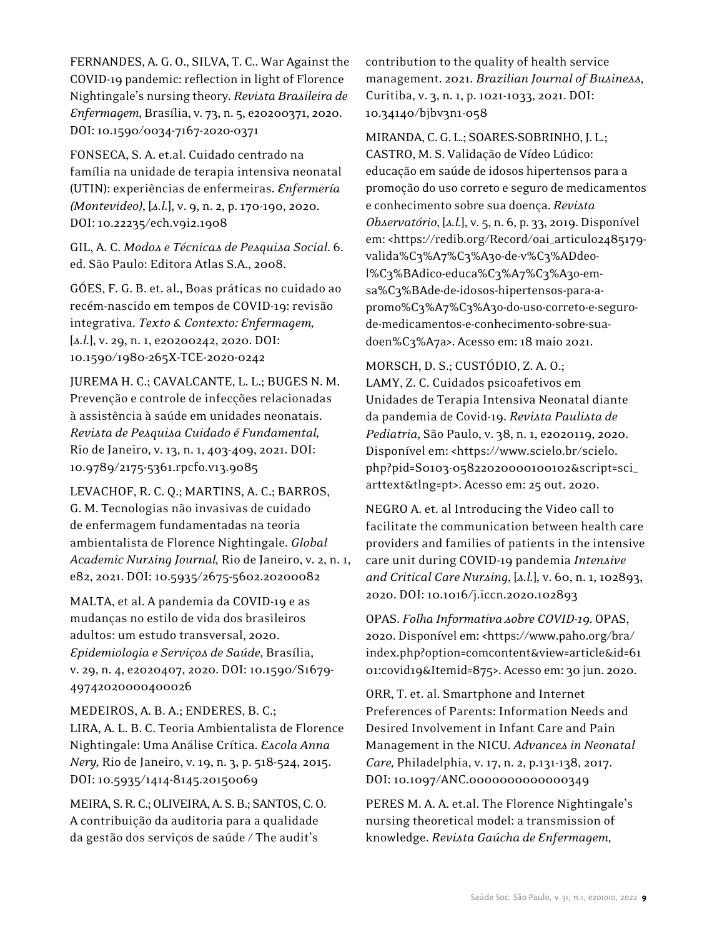FERNANDES, A. G. O., SILVA, T. C.. War Against the COVID-19 pandemic: reflection in light of Florence Nightingale's nursing theory. *Revista Brasileira de Enfermagem*, Brasília, v. 73, n. 5, e20200371, 2020. DOI: 10.1590/0034-7167-2020-0371

FONSECA, S. A. et.al. Cuidado centrado na família na unidade de terapia intensiva neonatal (UTIN): experiências de enfermeiras. *Enfermería (Montevideo)*, [*s.l.*], v. 9, n. 2, p. 170-190, 2020. DOI: 10.22235/ech.v9i2.1908

GIL, A. C. *Modos e Técnicas de Pesquisa Social*. 6. ed. São Paulo: Editora Atlas S.A., 2008.

GÓES, F. G. B. et. al., Boas práticas no cuidado ao recém-nascido em tempos de COVID-19: revisão integrativa. *Texto & Contexto: Enfermagem,* [*s.l.*], v. 29, n. 1, e20200242, 2020. DOI: 10.1590/1980-265X-TCE-2020-0242

JUREMA H. C.; CAVALCANTE, L. L.; BUGES N. M. Prevenção e controle de infecções relacionadas à assistência à saúde em unidades neonatais. *Revista de Pesquisa Cuidado é Fundamental,*  Rio de Janeiro, v. 13, n. 1, 403-409, 2021. DOI: 10.9789/2175-5361.rpcfo.v13.9085

LEVACHOF, R. C. Q.; MARTINS, A. C.; BARROS, G. M. Tecnologias não invasivas de cuidado de enfermagem fundamentadas na teoria ambientalista de Florence Nightingale. *Global Academic Nursing Journal,* Rio de Janeiro, v. 2, n. 1, e82, 2021. DOI: 10.5935/2675-5602.20200082

MALTA, et al. A pandemia da COVID-19 e as mudanças no estilo de vida dos brasileiros adultos: um estudo transversal, 2020. *Epidemiologia e Serviços de Saúde*, Brasília, v. 29, n. 4, e2020407, 2020. DOI: 10.1590/S1679- 49742020000400026

MEDEIROS, A. B. A.; ENDERES, B. C.; LIRA, A. L. B. C. Teoria Ambientalista de Florence Nightingale: Uma Análise Crítica. *Escola Anna Nery,* Rio de Janeiro, v. 19, n. 3, p. 518-524, 2015. DOI: 10.5935/1414-8145.20150069

MEIRA, S. R. C.; OLIVEIRA, A. S. B.; SANTOS, C. O. A contribuição da auditoria para a qualidade da gestão dos serviços de saúde / The audit's

contribution to the quality of health service management. 2021. *Brazilian Journal of Business*, Curitiba, v. 3, n. 1, p. 1021-1033, 2021. DOI: 10.34140/bjbv3n1-058

MIRANDA, C. G. L.; SOARES-SOBRINHO, J. L.; CASTRO, M. S. Validação de Vídeo Lúdico: educação em saúde de idosos hipertensos para a promoção do uso correto e seguro de medicamentos e conhecimento sobre sua doença. *Revista Observatório*, [*s.l.*], v. 5, n. 6, p. 33, 2019. Disponível em: <https://redib.org/Record/oai\_articulo2485179 valida%C3%A7%C3%A3o-de-v%C3%ADdeol%C3%BAdico-educa%C3%A7%C3%A3o-emsa%C3%BAde-de-idosos-hipertensos-para-apromo%C3%A7%C3%A3o-do-uso-correto-e-segurode-medicamentos-e-conhecimento-sobre-suadoen%C3%A7a>. Acesso em: 18 maio 2021.

MORSCH, D. S.; CUSTÓDIO, Z. A. O.; LAMY, Z. C. Cuidados psicoafetivos em Unidades de Terapia Intensiva Neonatal diante da pandemia de Covid-19. *Revista Paulista de Pediatria*, São Paulo, v. 38, n. 1, e2020119, 2020. Disponível em: <https://www.scielo.br/scielo. php?pid=S0103-05822020000100102&script=sci\_ arttext&tlng=pt>. Acesso em: 25 out. 2020.

NEGRO A. et. al Introducing the Video call to facilitate the communication between health care providers and families of patients in the intensive care unit during COVID-19 pandemia *Intensive and Critical Care Nursing*, [*s.l.*]*,* v. 60, n. 1, 102893, 2020. DOI: 10.1016/j.iccn.2020.102893

OPAS. *Folha Informativa sobre COVID-19*. OPAS, 2020. Disponível em: <https://www.paho.org/bra/ index.php?option=comcontent&view=article&id=61 01:covid19&Itemid=875>. Acesso em: 30 jun. 2020.

ORR, T. et. al. Smartphone and Internet Preferences of Parents: Information Needs and Desired Involvement in Infant Care and Pain Management in the NICU. *Advances in Neonatal Care,* Philadelphia, v. 17, n. 2, p.131-138, 2017. DOI: 10.1097/ANC.0000000000000349

PERES M. A. A. et.al. The Florence Nightingale's nursing theoretical model: a transmission of knowledge. *Revista Gaúcha de Enfermagem*,